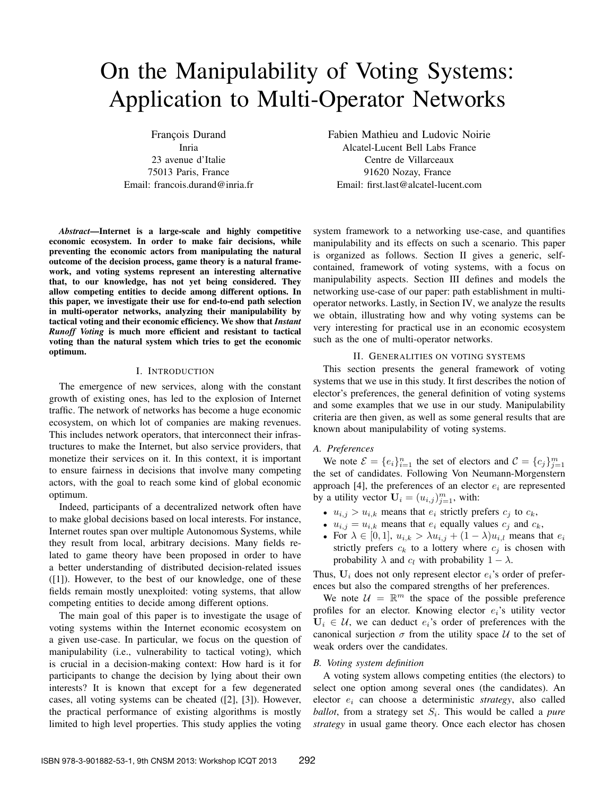# On the Manipulability of Voting Systems: Application to Multi-Operator Networks

Francois Durand Inria 23 avenue d'Italie 75013 Paris, France Email: francois.durand@inria.fr

*Abstract*—Internet is a large-scale and highly competitive economic ecosystem. In order to make fair decisions, while preventing the economic actors from manipulating the natural outcome of the decision process, game theory is a natural framework, and voting systems represent an interesting alternative that, to our knowledge, has not yet being considered. They allow competing entities to decide among different options. In this paper, we investigate their use for end-to-end path selection in multi-operator networks, analyzing their manipulability by tactical voting and their economic efficiency. We show that *Instant Runoff Voting* is much more efficient and resistant to tactical voting than the natural system which tries to get the economic optimum.

## I. INTRODUCTION

The emergence of new services, along with the constant growth of existing ones, has led to the explosion of Internet traffic. The network of networks has become a huge economic ecosystem, on which lot of companies are making revenues. This includes network operators, that interconnect their infrastructures to make the Internet, but also service providers, that monetize their services on it. In this context, it is important to ensure fairness in decisions that involve many competing actors, with the goal to reach some kind of global economic optimum.

Indeed, participants of a decentralized network often have to make global decisions based on local interests. For instance, Internet routes span over multiple Autonomous Systems, while they result from local, arbitrary decisions. Many fields related to game theory have been proposed in order to have a better understanding of distributed decision-related issues ([1]). However, to the best of our knowledge, one of these fields remain mostly unexploited: voting systems, that allow competing entities to decide among different options.

The main goal of this paper is to investigate the usage of voting systems within the Internet economic ecosystem on a given use-case. In particular, we focus on the question of manipulability (i.e., vulnerability to tactical voting), which is crucial in a decision-making context: How hard is it for participants to change the decision by lying about their own interests? It is known that except for a few degenerated cases, all voting systems can be cheated ([2], [3]). However, the practical performance of existing algorithms is mostly limited to high level properties. This study applies the voting

Fabien Mathieu and Ludovic Noirie Alcatel-Lucent Bell Labs France Centre de Villarceaux 91620 Nozay, France Email: first.last@alcatel-lucent.com

system framework to a networking use-case, and quantifies manipulability and its effects on such a scenario. This paper is organized as follows. Section II gives a generic, selfcontained, framework of voting systems, with a focus on manipulability aspects. Section III defines and models the networking use-case of our paper: path establishment in multioperator networks. Lastly, in Section IV, we analyze the results we obtain, illustrating how and why voting systems can be very interesting for practical use in an economic ecosystem such as the one of multi-operator networks.

#### II. GENERALITIES ON VOTING SYSTEMS

This section presents the general framework of voting systems that we use in this study. It first describes the notion of elector's preferences, the general definition of voting systems and some examples that we use in our study. Manipulability criteria are then given, as well as some general results that are known about manipulability of voting systems.

#### *A. Preferences*

We note  $\mathcal{E} = \{e_i\}_{i=1}^n$  the set of electors and  $\mathcal{C} = \{c_j\}_{j=1}^m$ the set of candidates. Following Von Neumann-Morgenstern approach [4], the preferences of an elector  $e_i$  are represented by a utility vector  $\mathbf{U}_i = (u_{i,j})_{j=1}^m$ , with:

- $u_{i,j} > u_{i,k}$  means that  $e_i$  strictly prefers  $c_j$  to  $c_k$ ,
- $u_{i,j} = u_{i,k}$  means that  $e_i$  equally values  $c_j$  and  $c_k$ ,
- For  $\lambda \in [0,1], u_{i,k} > \lambda u_{i,j} + (1-\lambda)u_{i,l}$  means that  $e_i$ strictly prefers  $c_k$  to a lottery where  $c_i$  is chosen with probability  $\lambda$  and  $c_l$  with probability  $1 - \lambda$ .

Thus,  $U_i$  does not only represent elector  $e_i$ 's order of preferences but also the compared strengths of her preferences.

We note  $\mathcal{U} = \mathbb{R}^m$  the space of the possible preference profiles for an elector. Knowing elector  $e_i$ 's utility vector  $U_i \in \mathcal{U}$ , we can deduct  $e_i$ 's order of preferences with the canonical surjection  $\sigma$  from the utility space  $\mathcal U$  to the set of weak orders over the candidates.

## *B. Voting system definition*

A voting system allows competing entities (the electors) to select one option among several ones (the candidates). An elector e<sup>i</sup> can choose a deterministic *strategy*, also called  $ballot$ , from a strategy set  $S_i$ . This would be called a *pure strategy* in usual game theory. Once each elector has chosen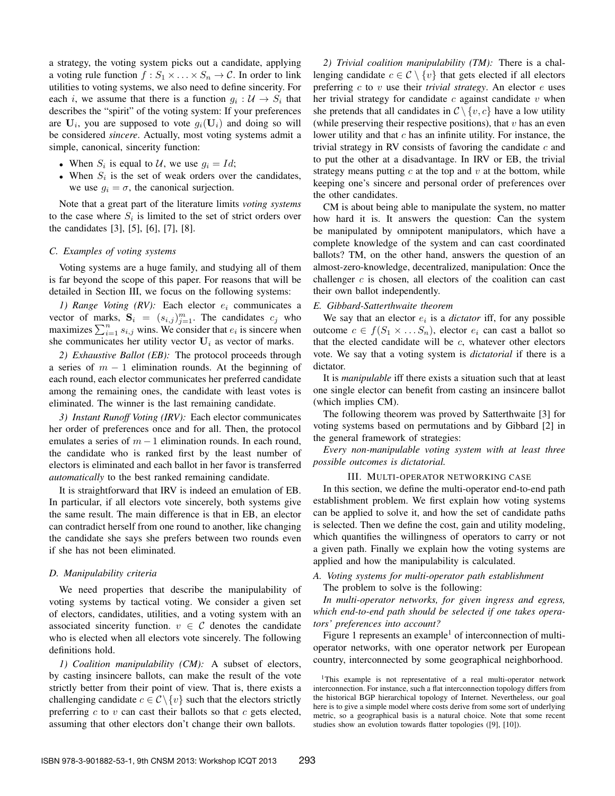a strategy, the voting system picks out a candidate, applying a voting rule function  $f : S_1 \times \ldots \times S_n \to \mathcal{C}$ . In order to link utilities to voting systems, we also need to define sincerity. For each i, we assume that there is a function  $g_i: \mathcal{U} \to S_i$  that describes the "spirit" of the voting system: If your preferences are  $U_i$ , you are supposed to vote  $g_i(U_i)$  and doing so will be considered *sincere*. Actually, most voting systems admit a simple, canonical, sincerity function:

- When  $S_i$  is equal to U, we use  $g_i = Id$ ;
- When  $S_i$  is the set of weak orders over the candidates, we use  $q_i = \sigma$ , the canonical surjection.

Note that a great part of the literature limits *voting systems* to the case where  $S_i$  is limited to the set of strict orders over the candidates [3], [5], [6], [7], [8].

#### *C. Examples of voting systems*

Voting systems are a huge family, and studying all of them is far beyond the scope of this paper. For reasons that will be detailed in Section III, we focus on the following systems:

*1) Range Voting (RV):* Each elector  $e_i$  communicates a vector of marks,  $S_i = (s_{i,j})_{j=1}^m$ . The candidates  $c_j$  who maximizes  $\sum_{i=1}^{n} s_{i,j}$  wins. We consider that  $e_i$  is sincere when she communicates her utility vector  $U_i$  as vector of marks.

*2) Exhaustive Ballot (EB):* The protocol proceeds through a series of  $m - 1$  elimination rounds. At the beginning of each round, each elector communicates her preferred candidate among the remaining ones, the candidate with least votes is eliminated. The winner is the last remaining candidate.

*3) Instant Runoff Voting (IRV):* Each elector communicates her order of preferences once and for all. Then, the protocol emulates a series of  $m - 1$  elimination rounds. In each round, the candidate who is ranked first by the least number of electors is eliminated and each ballot in her favor is transferred *automatically* to the best ranked remaining candidate.

It is straightforward that IRV is indeed an emulation of EB. In particular, if all electors vote sincerely, both systems give the same result. The main difference is that in EB, an elector can contradict herself from one round to another, like changing the candidate she says she prefers between two rounds even if she has not been eliminated.

### *D. Manipulability criteria*

We need properties that describe the manipulability of voting systems by tactical voting. We consider a given set of electors, candidates, utilities, and a voting system with an associated sincerity function.  $v \in \mathcal{C}$  denotes the candidate who is elected when all electors vote sincerely. The following definitions hold.

*1) Coalition manipulability (CM):* A subset of electors, by casting insincere ballots, can make the result of the vote strictly better from their point of view. That is, there exists a challenging candidate  $c \in \mathcal{C} \backslash \{v\}$  such that the electors strictly preferring  $c$  to  $v$  can cast their ballots so that  $c$  gets elected, assuming that other electors don't change their own ballots.

*2) Trivial coalition manipulability (TM):* There is a challenging candidate  $c \in \mathcal{C} \setminus \{v\}$  that gets elected if all electors preferring c to v use their *trivial strategy*. An elector e uses her trivial strategy for candidate  $c$  against candidate  $v$  when she pretends that all candidates in  $\mathcal{C} \setminus \{v, c\}$  have a low utility (while preserving their respective positions), that  $v$  has an even lower utility and that  $c$  has an infinite utility. For instance, the trivial strategy in RV consists of favoring the candidate  $c$  and to put the other at a disadvantage. In IRV or EB, the trivial strategy means putting  $c$  at the top and  $v$  at the bottom, while keeping one's sincere and personal order of preferences over the other candidates.

CM is about being able to manipulate the system, no matter how hard it is. It answers the question: Can the system be manipulated by omnipotent manipulators, which have a complete knowledge of the system and can cast coordinated ballots? TM, on the other hand, answers the question of an almost-zero-knowledge, decentralized, manipulation: Once the challenger  $c$  is chosen, all electors of the coalition can cast their own ballot independently.

## *E. Gibbard-Satterthwaite theorem*

We say that an elector  $e_i$  is a *dictator* iff, for any possible outcome  $c \in f(S_1 \times \ldots S_n)$ , elector  $e_i$  can cast a ballot so that the elected candidate will be  $c$ , whatever other electors vote. We say that a voting system is *dictatorial* if there is a dictator.

It is *manipulable* iff there exists a situation such that at least one single elector can benefit from casting an insincere ballot (which implies CM).

The following theorem was proved by Satterthwaite [3] for voting systems based on permutations and by Gibbard [2] in the general framework of strategies:

*Every non-manipulable voting system with at least three possible outcomes is dictatorial.*

#### III. MULTI-OPERATOR NETWORKING CASE

In this section, we define the multi-operator end-to-end path establishment problem. We first explain how voting systems can be applied to solve it, and how the set of candidate paths is selected. Then we define the cost, gain and utility modeling, which quantifies the willingness of operators to carry or not a given path. Finally we explain how the voting systems are applied and how the manipulability is calculated.

## *A. Voting systems for multi-operator path establishment* The problem to solve is the following:

*In multi-operator networks, for given ingress and egress, which end-to-end path should be selected if one takes operators' preferences into account?*

Figure 1 represents an example<sup>1</sup> of interconnection of multioperator networks, with one operator network per European country, interconnected by some geographical neighborhood.

<sup>&</sup>lt;sup>1</sup>This example is not representative of a real multi-operator network interconnection. For instance, such a flat interconnection topology differs from the historical BGP hierarchical topology of Internet. Nevertheless, our goal here is to give a simple model where costs derive from some sort of underlying metric, so a geographical basis is a natural choice. Note that some recent studies show an evolution towards flatter topologies ([9], [10]).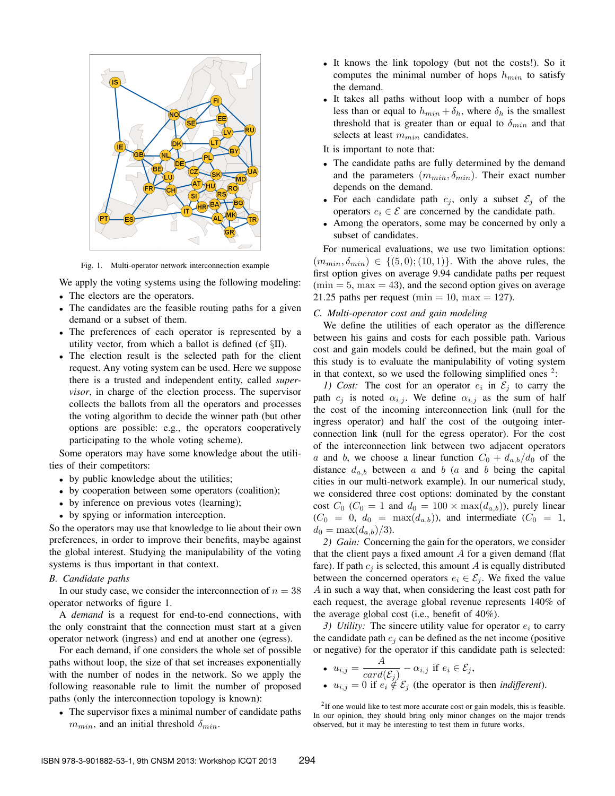

Fig. 1. Multi-operator network interconnection example

We apply the voting systems using the following modeling:

- The electors are the operators.
- The candidates are the feasible routing paths for a given demand or a subset of them.
- The preferences of each operator is represented by a utility vector, from which a ballot is defined (cf §II).
- The election result is the selected path for the client request. Any voting system can be used. Here we suppose there is a trusted and independent entity, called *supervisor*, in charge of the election process. The supervisor collects the ballots from all the operators and processes the voting algorithm to decide the winner path (but other options are possible: e.g., the operators cooperatively participating to the whole voting scheme).

Some operators may have some knowledge about the utilities of their competitors:

- by public knowledge about the utilities;
- by cooperation between some operators (coalition);
- by inference on previous votes (learning);
- by spying or information interception.

So the operators may use that knowledge to lie about their own preferences, in order to improve their benefits, maybe against the global interest. Studying the manipulability of the voting systems is thus important in that context.

#### *B. Candidate paths*

In our study case, we consider the interconnection of  $n = 38$ operator networks of figure 1.

A *demand* is a request for end-to-end connections, with the only constraint that the connection must start at a given operator network (ingress) and end at another one (egress).

For each demand, if one considers the whole set of possible paths without loop, the size of that set increases exponentially with the number of nodes in the network. So we apply the following reasonable rule to limit the number of proposed paths (only the interconnection topology is known):

• The supervisor fixes a minimal number of candidate paths  $m_{min}$ , and an initial threshold  $\delta_{min}$ .

- It knows the link topology (but not the costs!). So it computes the minimal number of hops  $h_{min}$  to satisfy the demand.
- It takes all paths without loop with a number of hops less than or equal to  $h_{min} + \delta_h$ , where  $\delta_h$  is the smallest threshold that is greater than or equal to  $\delta_{min}$  and that selects at least  $m_{min}$  candidates.
- It is important to note that:
- The candidate paths are fully determined by the demand and the parameters  $(m_{min}, \delta_{min})$ . Their exact number depends on the demand.
- For each candidate path  $c_j$ , only a subset  $\mathcal{E}_j$  of the operators  $e_i \in \mathcal{E}$  are concerned by the candidate path.
- Among the operators, some may be concerned by only a subset of candidates.

For numerical evaluations, we use two limitation options:  $(m_{min}, \delta_{min}) \in \{ (5, 0); (10, 1) \}.$  With the above rules, the first option gives on average 9.94 candidate paths per request  $(\text{min} = 5, \text{max} = 43)$ , and the second option gives on average 21.25 paths per request (min = 10, max = 127).

## *C. Multi-operator cost and gain modeling*

We define the utilities of each operator as the difference between his gains and costs for each possible path. Various cost and gain models could be defined, but the main goal of this study is to evaluate the manipulability of voting system in that context, so we used the following simplified ones  $2$ :

*1)* Cost: The cost for an operator  $e_i$  in  $\mathcal{E}_j$  to carry the path  $c_j$  is noted  $\alpha_{i,j}$ . We define  $\alpha_{i,j}$  as the sum of half the cost of the incoming interconnection link (null for the ingress operator) and half the cost of the outgoing interconnection link (null for the egress operator). For the cost of the interconnection link between two adjacent operators a and b, we choose a linear function  $C_0 + d_{a,b}/d_0$  of the distance  $d_{a,b}$  between a and b (a and b being the capital cities in our multi-network example). In our numerical study, we considered three cost options: dominated by the constant cost  $C_0$  ( $C_0 = 1$  and  $d_0 = 100 \times \max(d_{a,b})$ ), purely linear  $(C_0 = 0, d_0 = \max(d_{a,b}))$ , and intermediate  $(C_0 = 1,$  $d_0 = \max(d_{a,b})/3$ .

*2) Gain:* Concerning the gain for the operators, we consider that the client pays a fixed amount A for a given demand (flat fare). If path  $c_j$  is selected, this amount A is equally distributed between the concerned operators  $e_i \in \mathcal{E}_j$ . We fixed the value A in such a way that, when considering the least cost path for each request, the average global revenue represents 140% of the average global cost (i.e., benefit of 40%).

3) Utility: The sincere utility value for operator  $e_i$  to carry the candidate path  $c_i$  can be defined as the net income (positive or negative) for the operator if this candidate path is selected:

\n- \n
$$
u_{i,j} = \frac{A}{card(\mathcal{E}_j)} - \alpha_{i,j}
$$
\n if  $e_i \in \mathcal{E}_j$ ,\n
\n- \n $u_{i,j} = 0$ \n if  $e_i \notin \mathcal{E}_j$  (the operator is then *indifferent*).\n
\n

<sup>2</sup>If one would like to test more accurate cost or gain models, this is feasible. In our opinion, they should bring only minor changes on the major trends observed, but it may be interesting to test them in future works.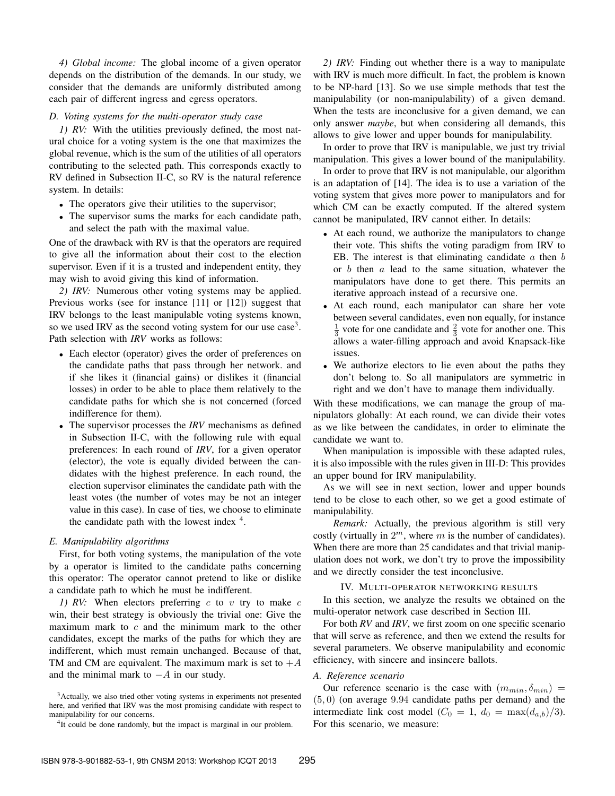*4) Global income:* The global income of a given operator depends on the distribution of the demands. In our study, we consider that the demands are uniformly distributed among each pair of different ingress and egress operators.

## *D. Voting systems for the multi-operator study case*

*1) RV:* With the utilities previously defined, the most natural choice for a voting system is the one that maximizes the global revenue, which is the sum of the utilities of all operators contributing to the selected path. This corresponds exactly to RV defined in Subsection II-C, so RV is the natural reference system. In details:

- The operators give their utilities to the supervisor;
- The supervisor sums the marks for each candidate path, and select the path with the maximal value.

One of the drawback with RV is that the operators are required to give all the information about their cost to the election supervisor. Even if it is a trusted and independent entity, they may wish to avoid giving this kind of information.

*2) IRV:* Numerous other voting systems may be applied. Previous works (see for instance [11] or [12]) suggest that IRV belongs to the least manipulable voting systems known, so we used IRV as the second voting system for our use  $case<sup>3</sup>$ . Path selection with *IRV* works as follows:

- Each elector (operator) gives the order of preferences on the candidate paths that pass through her network. and if she likes it (financial gains) or dislikes it (financial losses) in order to be able to place them relatively to the candidate paths for which she is not concerned (forced indifference for them).
- The supervisor processes the *IRV* mechanisms as defined in Subsection II-C, with the following rule with equal preferences: In each round of *IRV*, for a given operator (elector), the vote is equally divided between the candidates with the highest preference. In each round, the election supervisor eliminates the candidate path with the least votes (the number of votes may be not an integer value in this case). In case of ties, we choose to eliminate the candidate path with the lowest index  $4$ .

## *E. Manipulability algorithms*

First, for both voting systems, the manipulation of the vote by a operator is limited to the candidate paths concerning this operator: The operator cannot pretend to like or dislike a candidate path to which he must be indifferent.

*1) RV:* When electors preferring  $c$  to  $v$  try to make  $c$ win, their best strategy is obviously the trivial one: Give the maximum mark to  $c$  and the minimum mark to the other candidates, except the marks of the paths for which they are indifferent, which must remain unchanged. Because of that, TM and CM are equivalent. The maximum mark is set to  $+A$ and the minimal mark to  $-A$  in our study.

*2) IRV:* Finding out whether there is a way to manipulate with IRV is much more difficult. In fact, the problem is known to be NP-hard [13]. So we use simple methods that test the manipulability (or non-manipulability) of a given demand. When the tests are inconclusive for a given demand, we can only answer *maybe*, but when considering all demands, this allows to give lower and upper bounds for manipulability.

In order to prove that IRV is manipulable, we just try trivial manipulation. This gives a lower bound of the manipulability.

In order to prove that IRV is not manipulable, our algorithm is an adaptation of [14]. The idea is to use a variation of the voting system that gives more power to manipulators and for which CM can be exactly computed. If the altered system cannot be manipulated, IRV cannot either. In details:

- At each round, we authorize the manipulators to change their vote. This shifts the voting paradigm from IRV to EB. The interest is that eliminating candidate  $\alpha$  then  $\beta$ or  $b$  then  $a$  lead to the same situation, whatever the manipulators have done to get there. This permits an iterative approach instead of a recursive one.
- At each round, each manipulator can share her vote between several candidates, even non equally, for instance  $\frac{1}{3}$  vote for one candidate and  $\frac{2}{3}$  vote for another one. This allows a water-filling approach and avoid Knapsack-like issues.
- We authorize electors to lie even about the paths they don't belong to. So all manipulators are symmetric in right and we don't have to manage them individually.

With these modifications, we can manage the group of manipulators globally: At each round, we can divide their votes as we like between the candidates, in order to eliminate the candidate we want to.

When manipulation is impossible with these adapted rules, it is also impossible with the rules given in III-D: This provides an upper bound for IRV manipulability.

As we will see in next section, lower and upper bounds tend to be close to each other, so we get a good estimate of manipulability.

*Remark:* Actually, the previous algorithm is still very costly (virtually in  $2^m$ , where m is the number of candidates). When there are more than 25 candidates and that trivial manipulation does not work, we don't try to prove the impossibility and we directly consider the test inconclusive.

#### IV. MULTI-OPERATOR NETWORKING RESULTS

In this section, we analyze the results we obtained on the multi-operator network case described in Section III.

For both *RV* and *IRV*, we first zoom on one specific scenario that will serve as reference, and then we extend the results for several parameters. We observe manipulability and economic efficiency, with sincere and insincere ballots.

## *A. Reference scenario*

Our reference scenario is the case with  $(m_{min}, \delta_{min})$  = (5, 0) (on average 9.94 candidate paths per demand) and the intermediate link cost model ( $C_0 = 1$ ,  $d_0 = \max(d_{a,b})/3$ ). For this scenario, we measure:

<sup>3</sup>Actually, we also tried other voting systems in experiments not presented here, and verified that IRV was the most promising candidate with respect to manipulability for our concerns.

<sup>&</sup>lt;sup>4</sup>It could be done randomly, but the impact is marginal in our problem.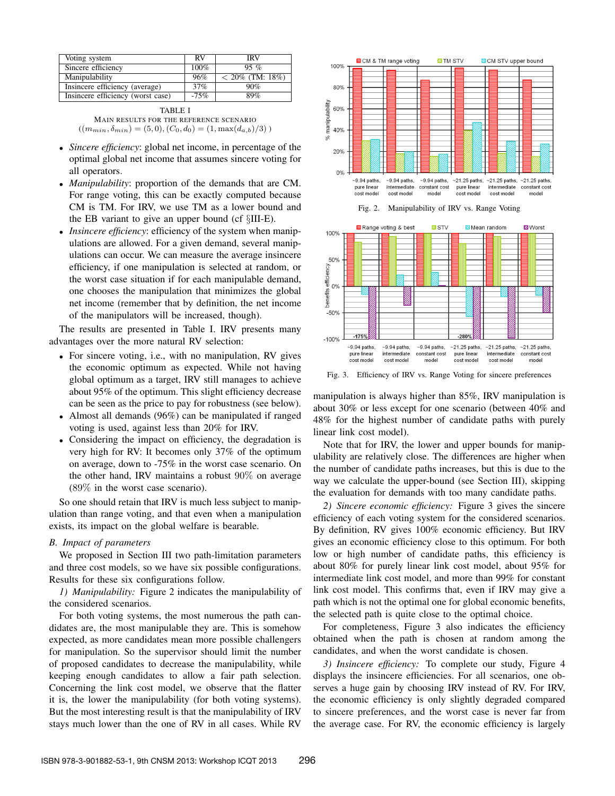| Voting system                     | RV     | IRV                |
|-----------------------------------|--------|--------------------|
| Sincere efficiency                | 100%   | $95\%$             |
| Manipulability                    | 96%    | $< 20\%$ (TM: 18%) |
| Insincere efficiency (average)    | 37%    | 90%                |
| Insincere efficiency (worst case) | $-75%$ | 89%                |

TABLE I MAIN RESULTS FOR THE REFERENCE SCENARIO  $((m_{min}, \delta_{min}) = (5, 0), (C_0, d_0) = (1, \max(d_{a,b})/3))$ 

- *Sincere efficiency*: global net income, in percentage of the optimal global net income that assumes sincere voting for all operators.
- *Manipulability*: proportion of the demands that are CM. For range voting, this can be exactly computed because CM is TM. For IRV, we use TM as a lower bound and the EB variant to give an upper bound (cf §III-E).
- *Insincere efficiency*: efficiency of the system when manipulations are allowed. For a given demand, several manipulations can occur. We can measure the average insincere efficiency, if one manipulation is selected at random, or the worst case situation if for each manipulable demand, one chooses the manipulation that minimizes the global net income (remember that by definition, the net income of the manipulators will be increased, though).

The results are presented in Table I. IRV presents many advantages over the more natural RV selection:

- For sincere voting, i.e., with no manipulation, RV gives the economic optimum as expected. While not having global optimum as a target, IRV still manages to achieve about 95% of the optimum. This slight efficiency decrease can be seen as the price to pay for robustness (see below).
- Almost all demands (96%) can be manipulated if ranged voting is used, against less than 20% for IRV.
- Considering the impact on efficiency, the degradation is very high for RV: It becomes only 37% of the optimum on average, down to -75% in the worst case scenario. On the other hand, IRV maintains a robust 90% on average (89% in the worst case scenario).

So one should retain that IRV is much less subject to manipulation than range voting, and that even when a manipulation exists, its impact on the global welfare is bearable.

## *B. Impact of parameters*

We proposed in Section III two path-limitation parameters and three cost models, so we have six possible configurations. Results for these six configurations follow.

*1) Manipulability:* Figure 2 indicates the manipulability of the considered scenarios.

For both voting systems, the most numerous the path candidates are, the most manipulable they are. This is somehow expected, as more candidates mean more possible challengers for manipulation. So the supervisor should limit the number of proposed candidates to decrease the manipulability, while keeping enough candidates to allow a fair path selection. Concerning the link cost model, we observe that the flatter it is, the lower the manipulability (for both voting systems). But the most interesting result is that the manipulability of IRV stays much lower than the one of RV in all cases. While RV



Fig. 3. Efficiency of IRV vs. Range Voting for sincere preferences

manipulation is always higher than 85%, IRV manipulation is about 30% or less except for one scenario (between 40% and 48% for the highest number of candidate paths with purely linear link cost model).

Note that for IRV, the lower and upper bounds for manipulability are relatively close. The differences are higher when the number of candidate paths increases, but this is due to the way we calculate the upper-bound (see Section III), skipping the evaluation for demands with too many candidate paths.

*2) Sincere economic efficiency:* Figure 3 gives the sincere efficiency of each voting system for the considered scenarios. By definition, RV gives 100% economic efficiency. But IRV gives an economic efficiency close to this optimum. For both low or high number of candidate paths, this efficiency is about 80% for purely linear link cost model, about 95% for intermediate link cost model, and more than 99% for constant link cost model. This confirms that, even if IRV may give a path which is not the optimal one for global economic benefits, the selected path is quite close to the optimal choice.

For completeness, Figure 3 also indicates the efficiency obtained when the path is chosen at random among the candidates, and when the worst candidate is chosen.

*3) Insincere efficiency:* To complete our study, Figure 4 displays the insincere efficiencies. For all scenarios, one observes a huge gain by choosing IRV instead of RV. For IRV, the economic efficiency is only slightly degraded compared to sincere preferences, and the worst case is never far from the average case. For RV, the economic efficiency is largely